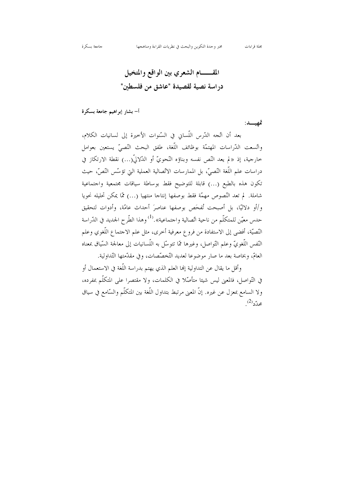المقـــــــام الشعري بين الواقع والمتخيل در اسة نصية لقصيدة "عاشق من فلسطين"

## أ– بشار إبراهيم جامعة بسكرة

تمهيسد:

بعد أن اتِّجه الدّرس اللّساني في السّنوات الأخيرة إلى لسانيات الكلام، واتّسعت الدّراسات المهتمّة بوظائف اللّغة، طفق البحث النّصيّ يستعين بعوامل حارجية، إذ «لم يعد النَّص نفسه وبناؤه النَّحويّ أو الدَّلاليّ(...) نقطة الارتكاز في دراسات علم اللُّغة النَّصيِّ، بل الممارسات الاتِّصالية العملية التي تؤسَّس النَّصِّ، حيث تكون هذه بالطبع (…) قابلة للتوضيح فقط بوساطة سياقات مجتمعية واجتماعية شاملة. لم تعد النَّصوص مهمَّة فقط بوصفها إنتاجا منتهيا (…) ممَّا يمكن تحليله نحويا و/أو دلاليًّا، بل أصبحت تُفحِّص بوصفها عناصرَ أحداث عامَّة، وأدوات لتحقيق حدس معيّن للمتكلّم من ناحية اتّصالية واحتماعية».<sup>(1)</sup> وهذا الطّرح الجديد في الدّراسة النَّصيَّة، أفضى إلى الاستفادة من فروع معرفية أخرى، مثل علم الاحتماع اللُّغوي وعلم النَّفس اللُّغويّ وعلم التَّواصل، وغيرها ممَّا تتوسَّل به اللَّسانيات إلى معالجة السَّياق بمعناه العامّ، وبخاصة بعد ما صار موضوعا لعديد التّخصّصات، وفي مقدّمتها التّداولية.

وأقل ما يقال عن التداولية إلها العلم الذي يهتم بدراسة اللُّغة في الاستعمال أو في التَّواصل، فالمعنى ليس شيئا متأصَّلا في الكلمات، ولا مقتصرا على المتكلَّم بمفرده، ولا السامع بمعزل عن غيره. إنَّ المعنى مرتبط بتداول اللُّغة بين المتكلَّم والسَّامع في سياق  $^{(2)}$ محدّد $^{(2)}$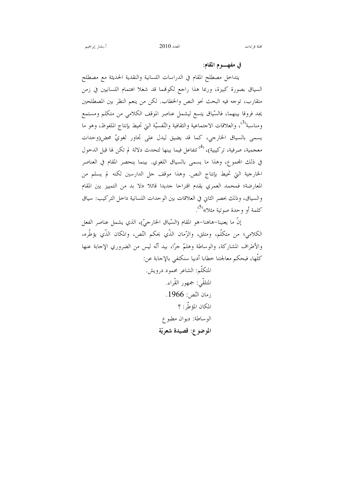## في مفهـــــوم المقام:

يتداخل مصطلح المقام في الدراسات اللسانية والنقدية الحديثة مع مصطلح السياق بصورة كبيرة، وربما هذا راجع لكونمما قد شغلا اهتمام اللسانيين في زمن متقارب، توجه فيه البحث نحو النص والخطاب. لكن من ينعم النظر بين المصطلحين يجد فروقا بينهما، فالسّياق يتسع ليشمل عناصر الموقف الكلامي من متكلم ومستمع ومناسبة<sup>(3</sup>)، والعلاقات الاحتماعية والثقافية والنّفسيّة التي تحيط بإنتاج الملفوظ، وهو ما يسمى بالسياق الخارجي، كما قد يضيق ليدل على تجاور لغويٍّ محض(وحدات معجمية، صرفية، تركيبية)، <sup>(4)</sup> تتفاعل فيما بينها لتحدث دلالة لم تكن لها قبل الدحول في ذلك المجموع، وهذا ما يسمى بالسياق اللغوي. بينما ينحصر المقام في العناصر الخارجية التي تحيط بإنتاج النص. وهذا موقف جل الدارسين لكنه لم يسلم من المعارضة؛ فمحمد العمري يقدم اقتراحًا جديدًا قائلًا «لا بد من التمييز بين المقام والسياق، وذلك بحصر الثاني في العلاقات بين الوحدات اللسانية داحل التركيب: سياق كلمة أو وحدة صوتية مثلا»<sup>(5)</sup>.

إنَّ ما يعنينا–هاهنا–هو المقام (السَّياق الخارجيّ)، الذي يشمل عناصر الفعل الكلامي؛ من متكلَّم، ومتلق، والزَّمان الذَّي يحكم النَّص، والمكان الذَّي يؤطِّره، والأطراف المشاركة، والوساطة وهلمّ جرًّا، بيد أنَّه ليس من الضروري الإجابة عنها كلُّها، فبحكم معالجتنا خطابا أدبيا سنكتفي بالإحابة عن:

> المتكلَّم: الشاعر محمود درويش. المتلقّى: جمهور القّراء. زمان النّص: 1966. المكان المؤطّر: ؟ الوساطة: ديوان مطبوع الموضوع: قصيدة شعريّة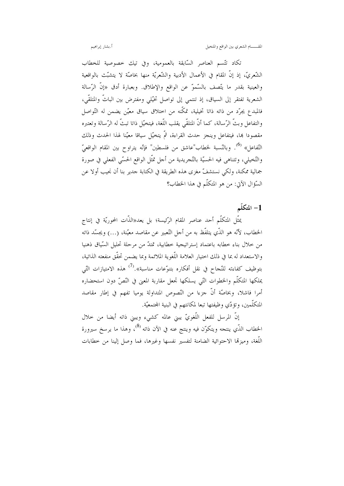أ.بشار إبراهيم

تكاد تتّسم العناصر السّابقة بالعمومية، وفي تيك خصوصية للخطاب الشَّعريِّ، إذ إنَّ المقام في الأعمال الأدبية والشَّعريَّة منها بخاصَّة لا يتشبَّت بالواقعية والعينية بقدر ما يتّصف بالسّموّ عن الواقع والإطلاق. وبعبارة أدق «إنّ الرّسالة الشعرية تفتقر إلى السياق، إذ تنتمي إلى تواصل تخيَّلي ومفترض بين الباتَّ والمتلقَّى، فالمبدع يجرّد من ذاته ذاتا تخيلية، تمكّنه من احتلاق سياق معيّن يضمن له التّواصل والتفاعل وبثَّ الرَّسالة، كما أنَّ المتلقَّى يقلب اللُّغة، فيتخيَّل ذاتا تبتٌ له الرَّسالة وتعتبره مقصودا ها، فيتفاعل وينجز حدث القراءة، ثمّ يتخيّل سياقا معيّنا لهذا الحدث وذلك التِّفاعل» <sup>(6)</sup>. وبالنّسبة لخطاب"عاشق من فلسطين" فإنّه يتراوح بين المقام الواقعيّ والتَّخيلي، وتتناهى فيه الحسيَّة بالتَّجريدية من أجل تمثَّل الواقع الحسَّى الفعلي في صورة جمالية ممكنة، ولكي نستشفَّ مغزى هذه الطريقة في الكتابة جدير بنا أن نجيب أولا عن السَّؤال الآتي: من هو المتكلَّم في هذا الخطاب؟

## 1– المتكلّم

يمثّل المتكلّم أحد عناصر المقام الرّئيسة؛ بل يعد«الذّات المحوريّة في إنتاج الخطاب، لأنَّه هو الذَّى يتلفَّظ به من أجل التَّعبير عن مقاصد معيّنة، (…) ويجسّد ذاته من خلال بناء خطابه باعتماد إستراتيجية خطابية، تمتدّ من مرحلة تحليل السّياق ذهنيا والاستعداد له بما في ذلك احتيار العلامة اللُّغوية الملائمة وبما يضمن تحقُّق منفعته الذاتية، بتوظيف كفاءته للنّجاح في نقل أفكاره بتنوّعات مناسبة».<sup>(7)</sup> هذه الامتيازات التّي يملكها المتكلَّم والخطوات التَّى يسلكها تجعل مقاربة المعنى في النَّصِّ دون استحضاره أمرا فاشلا، وبخاصَّة أنَّ جزءا من النّصوص المتداولة يوميا تفهم في إطار مقاصد المتكلَّمين، وتؤدّي وظيفتها تبعا لمكانتهم في البنية المحتمعيّة.

إنَّ المرسل للفعل اللُّغويِّ يبني عالمه كشيء ويبني ذاته أيضا من حلال الخطاب الذّي ينتجه ويتكوّن فيه وينتج عنه في الآن ذاته <sup>(8</sup>)، وهذا ما يرسخ سيرورة اللُّغة، وميزمَّا الاحتوائية الضامنة لتفسير نفسها وغيرها، فما وصل إلينا من خطابات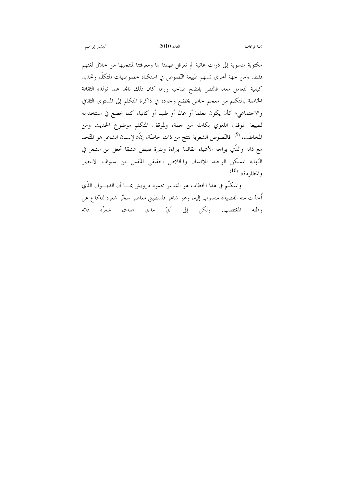مكتوبة منسوبة إلى ذوات غائبة لم تعرقل فهمنا لها ومعرفتنا لمنتجيها من حلال لغتهم فقط. ومن جهة أخرى تسهم طبيعة النّصوص في استكناه خصوصيات المتكلّم وتحديد كيفية التعامل معه، فالنص يفضح صاحبه وربما كان ذلك ناتجا عما تولده الثقافة الخاصة بالمتكلم من معجم حاص يخضع وحوده في ذاكرة المتكلم إلى المستوى الثقافي والاجتماعي؛ كأن يكون معلما أو عالما أو طبيبا أو كاتبا، كما يخضع في استخدامه لطبيعة الموقف اللغوي بكامله من جهة، ولموقف المتكلم موضوع الحديث ومن المخاطَب، <sup>(9)</sup> فالنّصوص الشعرية تنتج من ذات خاصّة، إنّ«الإنسان الشاعر هو المتّحد مع ذاته والذَّي يواجه الأشياء القائمة ببراءة وبنبرة تفيض عشقا تجعل من الشعر في النّهاية المسكن الوحيد للإنسان والخلاص الحقيقى للنّفس من سيوف الانتظار والمطاردة». <sup>(10)</sup>

والمتكلَّم في هذا الخطاب هو الشاعر محمود درويش بمــــا أن الديــــوان الذَّي أُخذت منه القصيدة منسوب إليه، وهو شاعر فلسطيني معاصر سخَّر شعره للدِّفاع عن وطنه المغتصب. ولكن إلى أيّ مدى صدق شعرُه ذاته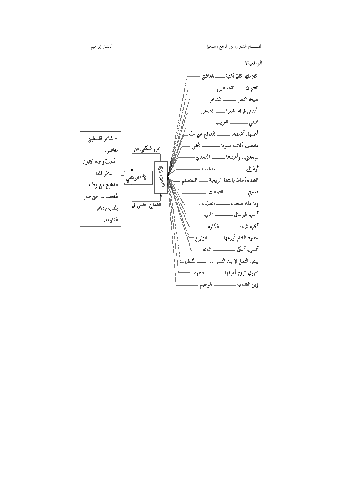الو اقعية؟

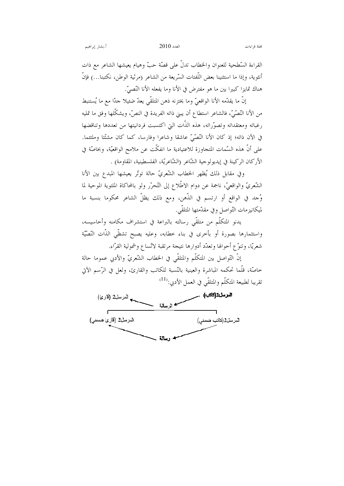القراءة السّطحية للعنوان والخطاب تدلُّ على قصّة حبٌّ وهيام يعيشها الشاعر مع ذات أنثوية، وإذا ما استثنينا بعض اللُّفتات السَّريعة من الشاعر (مرثية الوطن، نكتبنا…) فإنَّ هناك تمايزا كبيرا بين ما هو مفترض في الأنا وما يفعله الأنا النَّصيِّ.

إنَّ ما يقدَّمه الأنا الواقعيَّ وما يختزنه ذهن المتلقَّى يعدَّ ضئيلًا حدًّا مع ما يُستنبط من الأنا النَّصَّىِّ، فالشاعر استطاع أن يبني ذاته الفريدة في النصِّ، ويشكِّلها وفق ما تمليه رغباته ومعتقداته وتصوّراته، هذه الذّات التي اكتسبت فردانيتها من تعددها وتناقضها في الآن ذاته؛ إذ كان الأنا النَّصَّىّ عاشقا وشاعرا وفارسا، كما كان مشتَّتا وملتئما. على أنَّ هذه السَّمات المتجاوزة للاعتيادية ما انفكَّت عن ملامح الواقعيَّة، وبخاصَّة في الأركان الركينة في إيديولوجية الشّاعر (الشّاعريّة، الفلسطينية، المقاومة) .

وفي مقابل ذلك يُظهر الخطاب الشّعريّ حالة توتّر يعيشها المبدع بين الأنا الشُّعريّ والواقعيّ، ناجمة عن دوام الاطِّلاع إلى التَّحرّر ولو بالمحاكاة الملتوية الموحية لما وُحد في الواقع أو ارتسم في الذّهن، ومع ذلك يظلّ الشاعر محكوما بنسبة ما لميكانيزمات التَّواصل وفي مقدَّمتها المتلقَّى.

يدنو المتكلَّم من متلقَّى رسالته بالبراعة في استشراف مكامنه وأحاسيسه، واستثمارها بصورة أو بأحرى في بناء حطابه، وعليه يصبح تشظّي الذّات النّصّيّة شعريًّا، وتنوَّع أحوالها وتعدَّد أدوارها نتيجة مرتقبة لاتِّساع وشمولية القرَّاء.

إنَّ التَّواصل بين المتكلَّم والمتلقَّى في الخطاب الشَّعريِّ والأدبي عموما حالة خاصَّة، قلَّما تحكمه المباشرة والعينية بالنَّسبة للكاتب والقارئ، ولعل في الرَّسم الآتي تقريبا لطبيعة المتكلّم والمتلقّى في العمل الأدبي:<sup>(11)</sup>

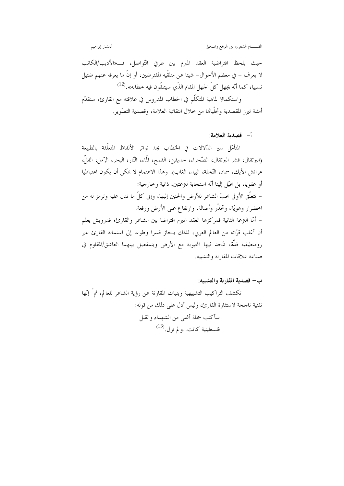المقــــــام الشعري بين الواقع والمتخيل

أ.بشار إبراهيم

حيث يلحظ افتراضية العقد المبرم بين طرفي التّواصل، فـــ«الأديب/الكاتب لا يعرف – في معظم الأحوال– شيئا عن متلقَّيه المفترضين، أو إنَّ ما يعرفه عنهم ضئيل نسبيا، كما أنّه يجهل كلّ الجهل المقام الذّي سيتلقّون فيه خطابه».<sup>(12)</sup>

واستكمالا لماهية المتكلَّم في الخطاب المدروس في علاقته مع القارئ، سنقدَّم أمثلة تبرز المقصدية وتحلّياها من حلال انتقائية العلامة، وقصدية التصّوير .

أ– قصدية العلامة:

المتأمّل سير الدّلالات في الخطاب يجد تواتر الألفاظ المتعلّقة بالطبيعة (البرتقال، قشر البرتقال، الصّحراء، حديقتي، القمح، الّماء، النّار، البحر، الرّمل، الفلّ، عرائش الأيك، سماد، النَّخلة، البيد، الغاب). وهذا الاهتمام لا يمكن أن يكون اعتباطيا أو عفويا، بل يخيّل إلينا أنّه استجابة لترعتين، ذاتية وحارجية: – تتعلَّق الأولى بحبِّ الشاعر للأرض والحنين إليها، وإلى كلِّ ما تدل عليه وترمز له من احضرار وهويَّة، وتجذَّر وأصالة، وارتفاع على الأرض ورفعة. – أمَّا الترعة الثانية فمركزها العقد المبرم افتراضا بين الشاعر والقارئ؛ فدرويش يعلم أن أغلب قرَّائه من العالم العربي، لذلك ينحاز قسرا وطوعا إلى استمالة القارئ عبر رومنطيقية فذَّة، تتَّحد فيها المحبوبة مع الأرض ويتمفصل بينهما العاشق/المقاوم في صناعة علاقات المقارنة والتشبيه.

ب– قصدية المقارنة والتشبيه:

تكشف التراكيب التشبيهية وبنيات المقارنة عن رؤية الشاعر للعالم، ثمَّ إنَّها تقنية ناجحة لاستثارة القارئ، وليس أدل على ذلك من قوله: سأكتب جملة أغلبي من الشهداء والقبل فلسطينية كانت..ولم تزل. $^{(13)}$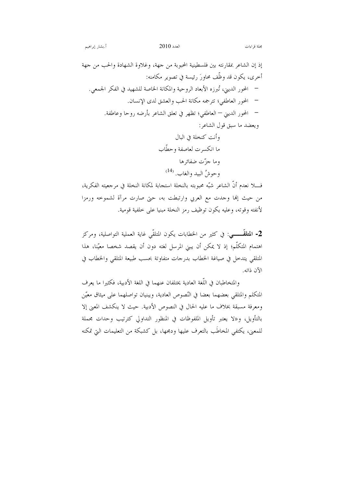مجلة قراءات

إذ إن الشاعر بمقارنته بين فلسطينية المحبوبة من جهة، وغلاوة الشهادة والحب من جهة أخرى، يكون قد وظَّف محاورَ رئيسة في تصوير مكامنه: – المحور الديني، تُبرزه الأبعاد الروحية والمكانة الخاصة للشهيد في الفكر الجمعي. – المحور العاطفي؛ تترجمه مكانة الحب والعشق لدى الإنسان. – المحور الديني – العاطفي؛ تظهر في تعلق الشاعر بأرضه روحا وعاطفة. ويعضد ما سبق قول الشاعر: وأنت كنخلة في اليال

 $2010$  العدد

فــــلا نعدم أنَّ الشاعر شبَّه محبوبته بالنخلة استجابة لمكانة النخلة في مرجعيته الفكرية، من حيث إلها وحدت مع العربي وارتبطت به، حتى صارت مرآة لشموخه ورمزا لأنفته وقوته، وعليه يكون توظيف رمز النخلة مبنيا على خلفية قومية.

2- المتلقّـــــــى: في كثير من الخطابات يكون المتلقّى غاية العملية التواصلية، ومركز اهتمام المتكلَّم؛ إذ لا يمكن أن يبني المرسل لغته دون أن يقصد شخصا معيِّنا، هذا المتلقى يتدحل في صياغة الخطاب بدرجات متفاوتة بحسب طبيعة المتلقى والخطاب في الآن ذاته.

والمتخاطبان في اللُّغة العادية يختلفان عنهما في اللغة الأدبية، فكثيرا ما يعرف المتكلم والمتلقى بعضهما بعضا في النّصوص العادية، ويبنيان تواصلهما على ميثاق معيّن ومعرفة مسبقة بخلاف ما عليه الحال في النصوص الأدبية. حيث لا ينكشف المعنى إلا بالتأويل، و«لا يعتبر تأويل الملفوظات في المنظور التداولي كترتيب وحدات مجملة للمعني، يكتفي المخاطَب بالتعرف عليها ودمجها، بل كشبكة من التعليمات التي تمكنه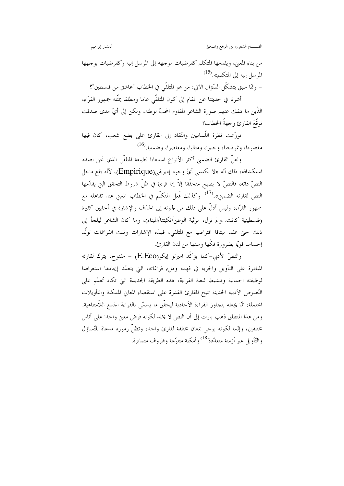المقــــــام الشعري بين الواقع والمتخيل

أ.بشار إبراهيم

من بناء المعنى، ويقدمها المتكلم كفرضيات موجهه إلى المرسل إليه وكفرضيات يوجهها المرسل إليه إلى المتكلم».<sup>(15</sup>)

– وممَّا سبقٍ يتشكَّل السَّوَّال الآتي: من هو المتلقَّى في الخطاب "عاشق من فلسطين"؟

أشرنا في حديثنا عن المقام إلى كون المتلقَّى عاما ومطلقا يمثِّله جمهور القرَّاء، الذَّين ما تنفك عنهم صورة الشاعر المقاوم المحبِّ لوطنه، ولكن إلى أيِّ مدى صدقت توقَّعَ القارئ وجهةُ الخطاب؟

توزَّعت نظرة اللَّسانيين والنَّقاد إلى القارئ على بضع شعب، كان فيها مقصودا، ونموذجيا، وحبيرا، ومثاليا، ومعاصرا، وضمنيا.<sup>(16</sup>)

ولعلَّ القارئ الضمني أكثر الأنواع استيعابا لطبيعة المتلقَّي الذي نحن بصدد استكشافه، ذلك أنّه «لا يكتسي أيّ وحود إمبريقي(Empirique)، لأنّه يقع داخل النصِّ ذاته، فالنصِّ لا يصبح متحقَّقا إلاَّ إذا قرئ في ظلِّ شروط التحقق التي يقدَّمها النص لقارئه الضمني».<sup>(17)</sup> وكذلك فَعل المتكلّم في الخطاب المعني عند تفاعله مع جمهور القرّاء، وليس أدلُّ على ذلك من لجوئه إلى الحذف والإشارة في أحايين كثيرة (فلسطينية كانت. ولم تزل، مرثية الوطن/نكبتنا/الميناء)، وما كان الشاعر ليلجأ إلى .<br>ذلك حيٍّ عقد ميثاقا افتراضيا مع المتلقى، فهذه الإشارات وتلك الفراغات تولُّد إحساسا قويًّا بضرورة فكَّها وملَّتها من لدن القارئ.

والنصِّ الأدبي–كما يؤكِّد امبرتو إيكو(E.Eco) – مفتوح، يترك لقارئه المبادرة على التأويل والحرية في فهمه وملء فراغاته، التي يتعمَّد إيجادها استعراضا لوظيفته الجمالية وتنشيطا للعبة القراءة، هذه الطريقة الجديدة التي تكاد تُعمّم على النّصوص الأدبية الحديثة تتيح للقارئ القدرة على استقصاء المعاني الممكنة والتأويلات المحتملة، ممَّا يجعله يتجاوز القراءة الأحادية ليحقَّق ما يسمَّى بالقراءة الجمع اللاَّمتناهية. ومن هذا المنطلق ذهب بارت إلى أن النص لا يخلد لكونه فرض معنى واحدا على أناس مختلفين، وإنَّما لكونه يوحى بمعان مختلفة لقارئ واحد، وتظلُّ رموزه مدعاة للتِّساؤل والتَّأويل عبر أزمنة متعدّدة<sup>(18)</sup> وأمكنة متنوّعة وظروف متمايزة.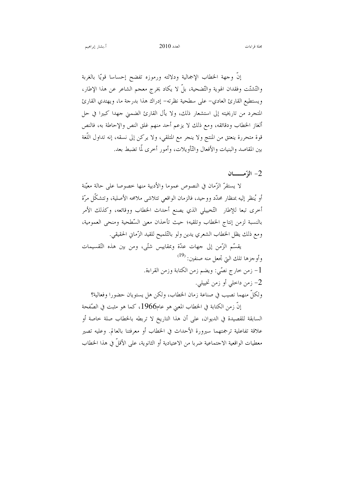إنَّ وحهة الخطاب الإجمالية ودلالته ورموزه تفضح إحساسا قويًّا بالغربة والتَّشتَّت وفقدان الهوية والتَّضحية، بلَّ لا يكاد يخرج معجم الشاعر عن هذا الإطار، ويستطيع القارئ العادي– على سطحية نظرته– إدراك هذا بدرجة ما، ويهتدي القارئ المتجرد من تاريخيته إلى استشعار ذلك، ولا يأل القارئ الضمني جهدا كبيرا في حل ألغاز الخطاب ودقائقه، ومع ذلك لا يزعم أحد منهم غلق النص والإحاطة به، فالنص قوة متحررة ينعتق من المنتج ولا ينجر مع المتلقى، ولا يركن إلى نسقه، إنه تداول اللُّغة بين المقاصد والبنيات والأفعال والتّأويلات، وأمور أخرى لّما تضبط بعد.

 $-2$ المتهمـــــــــان

لا يستقرُّ الزَّمان في النصوص عموما والأدبية منها خصوصا على حالة معيِّنة أو يُنظر إليه بمنظار محدّد ووحيد، فالزمان الواقعي تتلاشى ملامحه الأصلية، وتتشكّل مرّة أخرى تبعا للإطار التّخييلي الذي يصنع أحداث الخطاب ووقائعه، وكذلك الأمر بالنسبة لزمن إنتاج الخطاب وتلقيه؛ حيث تأخذان معنى السّطحية ومنحى العمومية، ومع ذلك يظل الخطاب الشعري يدين ولو بالتّلميح للقيد الزّماني الحقيقي.

يقسِّم الزَّمنِ إلى حهات عدَّة وبمقاييس شتَّى، ومن بين هذه التَّقسيمات وأوجزها تلك التي تجعل منه صنفين: <sup>(19)</sup> 1- زمن حارج نصّى: ويضم زمن الكتابة وزمن القراءة. 2– زمن داخلي أو زمن تخييلي. ولكلِّ منهما نصيب في صناعة زمان الخطاب، ولكن هل يستويان حضورا وفعالية؟

إنَّ زمن الكتابة في الحطاب المعنى هو عام1966، كما هو مثبت في الصَّفحة السابقة للقصيدة في الديوان، على أن هذا التاريخ لا تربطه بالخطاب صلة حاصة أو علاقة تفاعلية ترجمتهما سيرورة الأحداث في الخطاب أو معرفتنا بالعالم. وعليه تصير معطيات الواقعية الاجتماعية ضربا من الاعتيادية أو الثانوية، على الأقلَّ في هذا الخطاب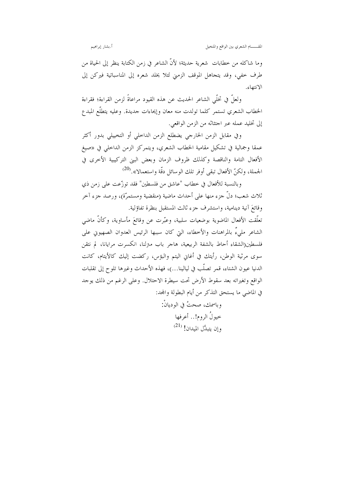وما شاكله من خطابات ً شعرية حديثة؛ لأنَّ الشاعر في زمن الكتابة ينظر إلى الحياة من طرف خفي، وقد يتجاهل الموقف الزمني لثلا يخلد شعره إلى المناسباتية فيركن إلى الانتهاء.

ولعلَّ في تخلَّى الشاعر الحديث عن هذه القيود مراعاةً لزمن القراءة؛ فقراءة الخطاب الشعرى تستمر كلما تولدت منه معان وإيحاءات حديدة. وعليه يتطلَّع المبدع إلى تخليد عمله عبر احتثاثه من الزمن الواقعي.

وفي مقابل الزمن الخارجي يضطلع الزمن الداحلي أو التخييلي بدور أكثر عمقاً وجمالية في تشكيل مقامية الخطاب الشعري، ويتمركز الزمن الداخلي في «صيغ الأفعال التامة والناقصة وكذلك ظروف الزمان وبعض البنى التركيبية الأخرى في الجملة، ولكنّ الأفعال تبقى أوفر تلك الوسائل دقّة واستعمالا».<sup>(20)</sup>

وبالنسبة للأفعال في حطاب "عاشق من فلسطين" فقد توزّعت على زمن ذي ثلاث شعب؛ دلَّ جزء منها على أحداث ماضية (منقضية ومستمرَّة)، ورصد جزء آخر وقائعَ آنية دينامية، واستشرف جزء ثالث المستقبل بنظرة تفاؤلية.

تعلَّقت الأفعال الماضوية بوضعيات سلبية، وعبَّرت عن وقائعَ مأساوية، وكأنَّ ماضي الشاعر مليءٌ بالمراهنات والأخطاء، التي كان سببها الرئيس العدوان الصهيوين على فلسطين(الشقاء أحاط بالشفة الربيعية، هاجر باب مترلنا، انكسرت مرايانا، لم نتقن سوى مرثية الوطن، رأيتك في أغاني اليتم والبؤس، ركضت إليك كالأيتام، كانت الدنيا عيون الشتاء، قمر تصلُّب في ليالينا…)، فهذه الأحداث وغيرها تلوح إلى تقلبات الواقع وتغيراته بعد سقوط الأرض تحت سيطرة الاحتلال. وعلى الرغم من ذلك يوجد في الماضي ما يستحق التذكر من أيام البطولة والمحد: وباسمك، صحتُ في الوديانْ:

حيولُ الروم!.. أعرفها  $^{(21)}$  وإن بتبدَّل المدان!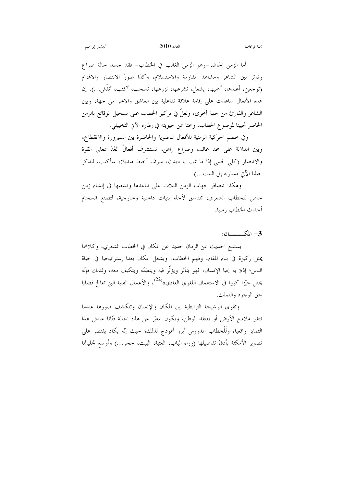أما الزمن الحاضر–وهو الزمن الغالب في الخطاب– فقد حسد حالة صراع وتوتر بين الشاعر ومشاهد المقاومة والاستسلام، وكذا صورُ الانتصار والافمزام (توجعني، أعبدها، أحميها، يشعل، نشرعها، نزرعها، تسحب، أكتب، أنقَّش...). إن هذه الأفعال ساعدت على إقامة علاقة تفاعلية بين العاشق والآخر من جهة، وبين الشاعر والقارئ من حهة أخرى، ولعلَّ في تركيز الخطاب على تسحيل الوقائع بالزمن الحاضر تحيينا لموضوع الخطاب، وبحثا عن حيويته في إطاره الآني التخييلي.

وفي خضم الحركية الزمنية للأفعال الماضوية والحاضرة بين السيرورة والانقطاع، وبين الدلالة على مجد غائب وصراع راهن، تستشرف أفعالٌ الغَدَ بمعاني القوة والانتصار (كلى لحمى إذا ما نمت يا ديدان، سوف أحيط منديلا، سأكتب، ليذكر حيلنا الآتي مساربه إلى البيت...).

وهكذا تتضافر جهات الزمن الثلاث على تباعدها وتشعبها في إنشاء زمن خاص للخطاب الشعري، تتناسق لأجله بنيات داخلية وخارجية، لتصنع انسجام أحداث الخطاب زمنيا.

3- المكسسان:

يستتبع الحديث عن الزمان حديثا عن المكان في الخطاب الشعري، وكلاهما يمثل ركيزة في بناء المقام، وفهم الخطاب. ويشغل المكان بعدا إستراتيجيا في حياة الناس؛ إذ« به يحيا الإنسان، فهو يتأثر ويؤثَّر فيه وينظمَّه ويتكيف معه، ولذلك فإنَّه يحتل حيّزا كبيرا في الاستعمال اللغوي العادي»<sup>(22)</sup>، والأعمال الفنية التي تعالج قضايا حق الوجود والتملك.

وتقوى الوشيجة الترابطية بين المكان والإنسان وتنكشف صورها عندما تتغير ملامح الأرض أو يفتقد الوطن، ويكون المعبّر عن هذه الحالة فنّانا عايش هذا التمايز واقعيا، ولَلْخطاب المدروس أبرز أنموذج لذلك؛ حيث إنّه يكاد يقتصر على تصوير الأمكنة بأدقَّ تفاصيلها (وراء الباب، العتبة، البيت، حجر…) وأوسع تحلياها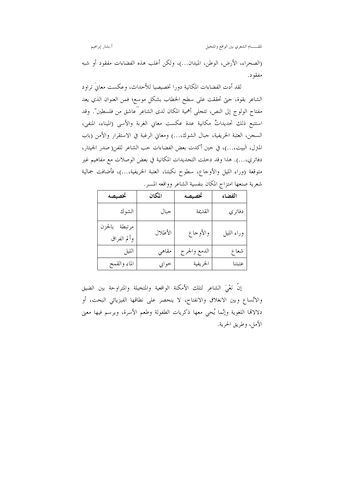أ.بشار إبراهيم

(الصحراء، الأرض، الوطن، الميدان...)، ولكن أغلب هذه الفضاءات مفقود أو شبه مفقود.

لقد أدت الفضاءات المكانية دورا تخصيصيا للأحداث، وعكست معانيَ تراود الشاعر بقوة، حتى تحققت على سطح الخطاب بشكل موسع؛ فمن العنوان الذي يعد مفتاح الولوج إلى النص، تتجلَّى أهمية المكان لدى الشاعر "عاشق من فلسطين". وقد استتبع ذلك تحديداتٌ مكانية عدة عكست معاني الغربة والأسى (الميناء، المنفي، السجن، العتبة الخريفية، جبال الشوك....) ومعاني الرغبة في الاستقرار والأمن (باب المترل، البيت،...)، في حين أكدت بعض الفضاءات حب الشاعر للفن(صدر الجيتار، دفاتري،...). هذا وقد دخلت التحديدات المكانية في بعض الوصلات مع مفاهيم غير متوقعة (وراء الليل والأوجاع، سطوح نكبتنا، العتبة الخريفية،...)، فأضافت جمالية شعرية صنعها امتزاج المكان بنفسية الشاعر وواقعه المسر.

| تخصيصه                       | المكان  | تخصيصه       | الفضاء     |
|------------------------------|---------|--------------|------------|
| الشوك                        | جبال    | القديمة      | دفاتري     |
| مرتبطة بالحزن<br>وألم الفراق | الأطلال | والأوجاع     | وراء الليل |
| الليل                        | مقاهي   | الدمع والجرح | شعاع       |
| الماء والقمح                 | حوابي   | الخريفية     | عتبتنا     |

إنَّ نَعْىَ الشاعرِ لتلك الأمكنة الواقعية والمتخيلة والمتراوحة بين الضيق والاتِّساع وبين الانغلاق والانفتاح، لا ينحصر على نطاقها الفيزيائي البحت، أو دلالاتما اللغوية وإنَّما يُحي معها ذكريات الطفولة وطعم الأسرة، ويرسم فيها معنى الأمل، وطريق الحرية.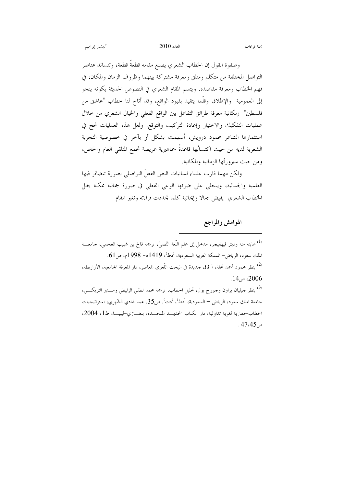أ.بشار إبراهيم

وصفوة القول إن الخطاب الشعري يصنع مقامه قطعةً قطعة، وتتساند عناصر التواصل المختلفة من متكلم ومتلق ومعرفة مشتركة بينهما وظروف الزمان والمكان، في فهم الخطاب ومعرفة مقاصده. ويتسم المقام الشعري في النصوص الحديثة بكونه ينحو إلى العمومية والإطلاق وقلَّما يتقيد بقيود الواقع، وقد أتاح لنا حطاب "عاشق من

فلسطين" إمكانية معرفة طرائق التفاعل بين الواقع الفعلي والخيال الشعري من حلال عمليات التفكيك والاختيار وإعادة التركيب والتوقع. ولعل هذه العمليات نجح في استثمارها الشاعر محمود درويش، أسهمت بشكل أو بآخر في خصوصية التجربة الشعرية لديه من حيث اكتسابُها قاعدةً جماهيرية عريضة تجمع المتلقى العام والخاص، ومن حيث سيرورثُها الزمانية والمكانية.

ولكن مهما قارب علماء لسانيات النص الفعلَ التواصلي بصورة تتضافر فيها العلمية والجمالية، ويتجلَّى على ضوئها الوعي الفعلي في صورة جمالية ممكنة يظل الخطاب الشعري يفيض جمالا وإيحائية كلما تحددت قراءته وتغير المقام

الهوامش والمراجع

<sup>(1)</sup> هاينه منه وديتر فيهفيجر، مدحل إلى علم اللّغة النّصيّ، ترجمة فالح بن شبيب العجمي، جامعـــة الملك سعود، الرياض- المملكة العربية السعودية، <sup>(</sup>دط<sup>)</sup>، 1419هـ- 1998م، ص61. <sup>(2)</sup> ينظر محمود أحمد نحلة، آ فاق جديدة في البحث اللُّغوي المعاصر، دار المعرفة الجامعية، الأزاريطة، . 2006، ص14. <sup>(3)</sup> ينظر جيليان براون وجورج يول، تحليل الخطاب، ترجمة محمد لطفي الزليطي ومـــنير التريكـــي، جامعة الملك سعود، الرياض — السعودية، <sup>(</sup>دط<sup>)</sup>، <sup>(</sup>دت<sup>)</sup>. ص35. عبد الهادي الشّهري، استراتيجيات الخطاب-مقاربة لغوية تداولية، دار الكتاب الجديسد المتحسدة، بنغسازي-ليبيســا، ط1، 2004،  $.47.45\,\mu$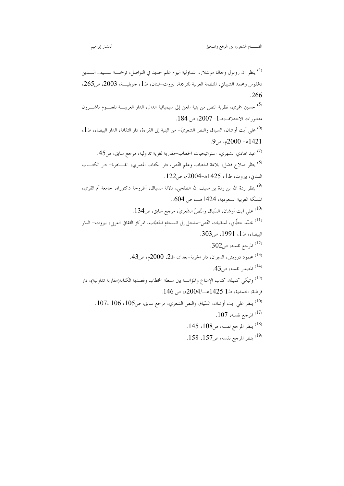<sup>(4)</sup> ينظر آن روبول وحاك موشلار، التداولية اليوم علم جديد في التواصل، ترجمــــة ســــيف الـــــدين دغفوس ومحمد الشيبان، المنظمة العربية للترجمة، بيروت-لبنان، ط1، جويليـــة، 2003، ص265،  $.266$ <sup>5)</sup> حسين خمري، نظرية النص من بنية المعنى إلى سيميائية الدال، الدار العربيــــة للعلــــوم ناشــــرون منشورات الاختلاف،ط1: 2007، ص 184. <sup>(6)</sup> على آيت أو شان، السياق والنص الشعريّ– من البنية إلى القراءة، دار الثقافة، الدار البيضاء، ط1،  $9,9,9,9$ ه – 2000م، ص <sup>7)</sup> عبد الهادي الشهري، استراتيجيات الخطاب-مقاربة لغوية تداولية، مرجع سابق، ص45. <sup>8</sup>) ينظر صلاح فضل، بلاغة الخطاب وعلم النّص، دار الكتاب المصري، القـــاهرة– دار الكتــــاب اللبناني، بيروت، ط1، 1425هـ-2004م، ص122. <sup>(9)</sup> ينظر ردة الله بن ردة بن ضيف الله الطلحي، دلالة السياق، أطروحة دكتوراه، جامعة أم القرى، المملكة الع بية السعودية، 1424هـــ، ص 604..  $134$ على آيت أوشان، السّياق والنّصّ الشّعريّ، مرحع سابق، ص $134$ . .<br><sup>(11)</sup> محمّد خطّابى، لسانيات النّص-مدخل إلى انسجام الحطاب، المركز الثقافي العربي، بيروت– الدار البيضاء، ط1، 1991، ص303.  $302$ المرجع نفسه، ص $^{(12)}$ 43) محمود درويش، الديوان، دار الحرية-بغداد، ط2، 2000م، ص43. .43) المصدر نفسه، ص43. رد.<br>در استخبار مقلکی کمیلة، کتاب الإمتاع والمؤانسة بین سلطة الخطاب وقصدیة الکتابة(مقاربة تداولیة)، دار قرطبة، المحمدية، ط1 1425هــ/2004م، ص 146. <sup>16)</sup> ينظر على آيت أوشان، السّياق والنص الشعري، مرحم سابق، ص105، 106 ، 107.  $107$  المرجع نفسه،  $^{(17)}$ .<sup>18</sup>) ينظر المرجع نفسه، ص108، 145. .158 ينظر المرجع نفسه، ص157،  $158$ .